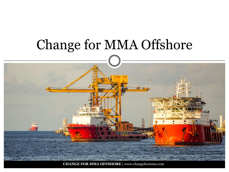# Change for MMA Offshore

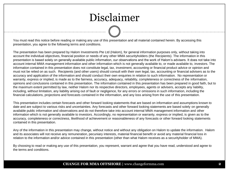### Disclaimer

You must read this notice before reading or making any use of this presentation and all material contained herein. By accessing this presentation, you agree to the following terms and conditions.

The presentation has been prepared by Halom Investments Pte Ltd (Halom), for general information purposes only, without taking into account the individual objectives, financial position or needs of any other MMA securityholders (the Recipients). The information in this presentation is based solely on generally available public information, our observations and the work of Halom's advisers. It does not take into account internal MMA management information and other information which is not generally available to, or made available to, investors. The information contained in this presentation does not constitute legal, tax, investment, accounting or financial product advice or opinion and must not be relied on as such. Recipients (and other users) should consult with their own legal, tax, accounting or financial advisers as to the accuracy and application of the information and should conduct their own enquiries in relation to such information. No representation or warranty, express or implied, is made as to the fairness, accuracy, adequacy, reliability, completeness or correctness of the information, opinions and conclusions contained in this presentation. The information contained in this presentation has been prepared in good faith, but to the maximum extent permitted by law, neither Halom nor its respective directors, employees, agents or advisers, accepts any liability, including, without limitation, any liability arising out of fault or negligence, for any errors or omissions in such information, including the financial calculations, projections and forecasts contained in the information, and any loss arising from the use of this presentation.

This presentation includes certain forecasts and other forward looking statements that are based on information and assumptions known to date and are subject to various risks and uncertainties. Any forecasts and other forward looking statements are based solely on generally available public information and observations and do not therefore take into account internal MMA management information and other information which is not generally available to investors. Accordingly, no representation or warranty, express or implied, is given as to the accuracy, completeness or correctness, likelihood of achievement or reasonableness of any forecasts or other forward looking statements contained in this presentation.

Any of the information in this presentation may change, without notice and without any obligation on Halom to update the information. Halom and its associates will not receive any remuneration, pecuniary interests, material financial benefit or avoid any material financial loss in relation to the information and/or advice contained in this presentation (other than what Halom receives as a securityholder of MMA).

By choosing to read or making any use of this presentation, you represent, warrant and agree that you have read, understood and agree to the terms and conditions.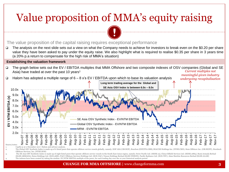# Value proposition of MMA's equity raising



 The analysis on the next slide sets out a view on what the Company needs to achieve for investors to break even on the \$0.20 per share value they have been asked to pay under the equity raise. We also highlight what is required to realise \$0.35 per share in 3 years time (a 20% p.a return to compensate for the high risk of MMA's situation)

#### **Establishing the valuation framework**

- The graph below sets out the EV / EBITDA multiples that MMA Offshore and two composite indexes of OSV companies (Global and SE Asia) have traded at over the past 10 years<sup>1</sup> *Current multiples not meaningful given industry*
- $\Box$  Halom has adopted a multiple range of 6 8 x's EV / EBITDA upon which to base its valuation analysis



*undergoing recapitalisation*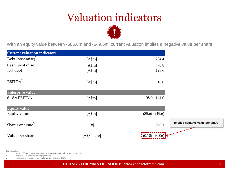### Valuation indicators

With an equity value between -\$85.6m and -\$49.6m, current valuation implies a negative value per share

| <b>Current valuation indicators</b>  |                         |                   |
|--------------------------------------|-------------------------|-------------------|
| Debt $\left($ post raise $\right)^1$ | [Asm]                   | 284.4             |
| Cash (post raise) $1$                | [Asm]                   | 90.8              |
| Net debt                             | [Asm]                   | 193.6             |
| EBITDA <sup>2</sup>                  | [Asm]                   | 18.0              |
| <b>Enterprise value</b>              |                         |                   |
| $6 - 8 \times$ EBITDA                | [Asm]                   | $108.0 - 144.0$   |
| <b>Equity value</b>                  |                         |                   |
| Equity value                         | [Asm]                   | $(85.6) - (49.6)$ |
| Shares on issue <sup>3</sup>         | $[$                     | 858.1             |
| Value per share                      | [A <sup>§</sup> /share] | $(0.10) - (0.06)$ |

Sources/notes:

1. MMA Offshore Limited - Equity Raising Presentation, 16th November 2017 p8

2. FY17 EBITDA from continuing operations

3. MMA Offshore Limited - Appendix 3B, 24 November 2017 p1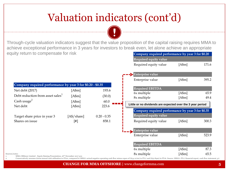## Valuation indicators (cont'd)

Through-cycle valuation indicators suggest that the value proposition of the capital raising requires MMA to achieve exceptional performance in 3 years for investors to break even, let alone achieve an appropriate equity return to compensate for risk **Company required performance by year 3 for \$0.20**

**Required equity value**

Required equity value [A\$m] 171.6

|                                                                                                          |                                                                                                                                                                                                                                                                                                                                                                                                                                                                                                                                                                                                                                    |               | Enterprise value<br>Enterprise value                       | [Asm]  | 395.2 |  |
|----------------------------------------------------------------------------------------------------------|------------------------------------------------------------------------------------------------------------------------------------------------------------------------------------------------------------------------------------------------------------------------------------------------------------------------------------------------------------------------------------------------------------------------------------------------------------------------------------------------------------------------------------------------------------------------------------------------------------------------------------|---------------|------------------------------------------------------------|--------|-------|--|
| Company required performance by year 3 for \$0.20 - \$0.35                                               |                                                                                                                                                                                                                                                                                                                                                                                                                                                                                                                                                                                                                                    |               |                                                            |        |       |  |
| Net debt (2017)                                                                                          | [A\$m]                                                                                                                                                                                                                                                                                                                                                                                                                                                                                                                                                                                                                             | 193.6         | <b>Required EBITDA</b>                                     |        |       |  |
| Debt reduction from asset sales <sup>1</sup>                                                             | [Asm]                                                                                                                                                                                                                                                                                                                                                                                                                                                                                                                                                                                                                              | (30.0)        | 6x multiple                                                | [A\$m] | 65.9  |  |
| Cash usage $2$                                                                                           | [A\$m]                                                                                                                                                                                                                                                                                                                                                                                                                                                                                                                                                                                                                             | 60.0          | 8x multiple                                                | [Asm]  | 49.4  |  |
| Net debt                                                                                                 | [A\$m]                                                                                                                                                                                                                                                                                                                                                                                                                                                                                                                                                                                                                             | 223.6         | Little or no dividends are expected over the 3 year period |        |       |  |
|                                                                                                          |                                                                                                                                                                                                                                                                                                                                                                                                                                                                                                                                                                                                                                    |               | Company required performance by year 3 for \$0.35          |        |       |  |
| Target share price in year 3                                                                             | [A\$/share]                                                                                                                                                                                                                                                                                                                                                                                                                                                                                                                                                                                                                        | $0.20 - 0.35$ | Required equity value                                      |        |       |  |
| Shares on issue                                                                                          | $[!]% \centering \subfloat[\centering ]{{\includegraphics[width=0.28\textwidth]{figs-pr2.png}}}% \qquad \subfloat[\centering ]{{\includegraphics[width=0.28\textwidth]{figs-pr2.png}}}% \caption{The 3D (black) model for the estimators (black) model for the 3D (black) model for the 3D (black) model for the 3D (black) model for the 3D (black) model for the 3D (black) model for the 3D (black) model for the 3D (black) model for the 3D (black) model for the 3D (black) model for the 3D (black) model for the 3D (black) model for the 3D (black) model for the 3D (black) model for the 3D (black) model for the 3D ($ | 858.1         | Required equity value                                      | [Asm]  | 300.3 |  |
|                                                                                                          |                                                                                                                                                                                                                                                                                                                                                                                                                                                                                                                                                                                                                                    |               | <b>Enterprise value</b>                                    |        |       |  |
|                                                                                                          |                                                                                                                                                                                                                                                                                                                                                                                                                                                                                                                                                                                                                                    |               | Enterprise value                                           | [A\$m] | 523.9 |  |
|                                                                                                          |                                                                                                                                                                                                                                                                                                                                                                                                                                                                                                                                                                                                                                    |               | <b>Required EBITDA</b>                                     |        |       |  |
|                                                                                                          |                                                                                                                                                                                                                                                                                                                                                                                                                                                                                                                                                                                                                                    |               | 6x multiple                                                | [A\$m] | 87.3  |  |
| Sources/notes:<br>MMA Offshore Limited - Equity Raising Presentation, 16 <sup>th</sup> November 2017 p12 | 8x multiple                                                                                                                                                                                                                                                                                                                                                                                                                                                                                                                                                                                                                        | [A\$m]        | 65.5                                                       |        |       |  |